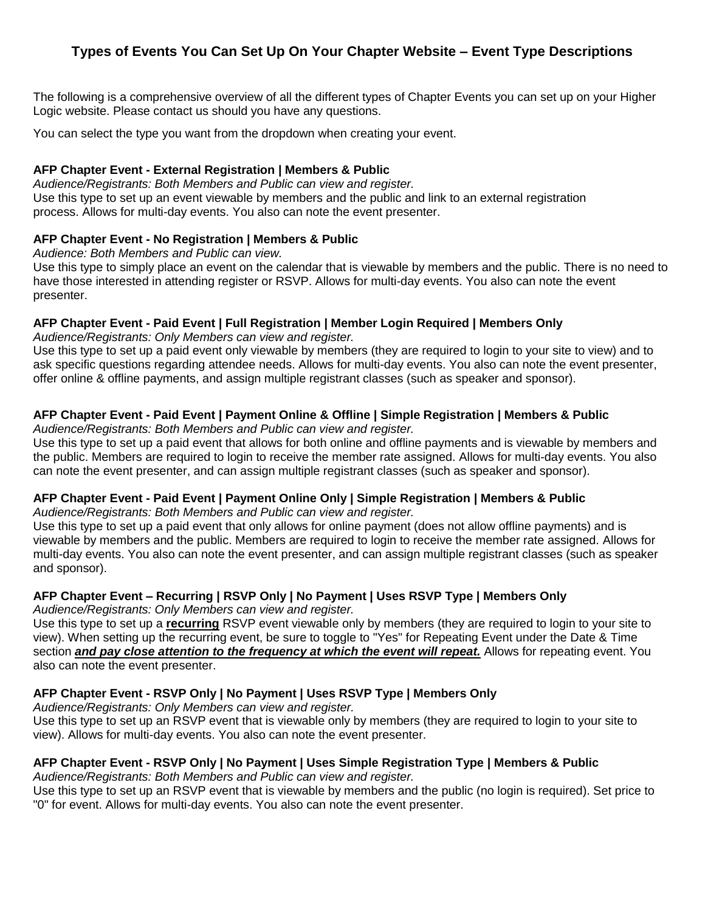# **Types of Events You Can Set Up On Your Chapter Website – Event Type Descriptions**

The following is a comprehensive overview of all the different types of Chapter Events you can set up on your Higher Logic website. Please contact us should you have any questions.

You can select the type you want from the dropdown when creating your event.

### **AFP Chapter Event - External Registration | Members & Public**

*Audience/Registrants: Both Members and Public can view and register.* Use this type to set up an event viewable by members and the public and link to an external registration process. Allows for multi-day events. You also can note the event presenter.

### **AFP Chapter Event - No Registration | Members & Public**

*Audience: Both Members and Public can view.*

Use this type to simply place an event on the calendar that is viewable by members and the public. There is no need to have those interested in attending register or RSVP. Allows for multi-day events. You also can note the event presenter.

# **AFP Chapter Event - Paid Event | Full Registration | Member Login Required | Members Only**

*Audience/Registrants: Only Members can view and register.*

Use this type to set up a paid event only viewable by members (they are required to login to your site to view) and to ask specific questions regarding attendee needs. Allows for multi-day events. You also can note the event presenter, offer online & offline payments, and assign multiple registrant classes (such as speaker and sponsor).

# **AFP Chapter Event - Paid Event | Payment Online & Offline | Simple Registration | Members & Public**

*Audience/Registrants: Both Members and Public can view and register.*

Use this type to set up a paid event that allows for both online and offline payments and is viewable by members and the public. Members are required to login to receive the member rate assigned. Allows for multi-day events. You also can note the event presenter, and can assign multiple registrant classes (such as speaker and sponsor).

# **AFP Chapter Event - Paid Event | Payment Online Only | Simple Registration | Members & Public**

*Audience/Registrants: Both Members and Public can view and register.*

Use this type to set up a paid event that only allows for online payment (does not allow offline payments) and is viewable by members and the public. Members are required to login to receive the member rate assigned. Allows for multi-day events. You also can note the event presenter, and can assign multiple registrant classes (such as speaker and sponsor).

# **AFP Chapter Event – Recurring | RSVP Only | No Payment | Uses RSVP Type | Members Only**

*Audience/Registrants: Only Members can view and register.*

Use this type to set up a **recurring** RSVP event viewable only by members (they are required to login to your site to view). When setting up the recurring event, be sure to toggle to "Yes" for Repeating Event under the Date & Time section *and pay close attention to the frequency at which the event will repeat.* Allows for repeating event. You also can note the event presenter.

# **AFP Chapter Event - RSVP Only | No Payment | Uses RSVP Type | Members Only**

*Audience/Registrants: Only Members can view and register.*

Use this type to set up an RSVP event that is viewable only by members (they are required to login to your site to view). Allows for multi-day events. You also can note the event presenter.

# **AFP Chapter Event - RSVP Only | No Payment | Uses Simple Registration Type | Members & Public**

*Audience/Registrants: Both Members and Public can view and register.*

Use this type to set up an RSVP event that is viewable by members and the public (no login is required). Set price to "0" for event. Allows for multi-day events. You also can note the event presenter.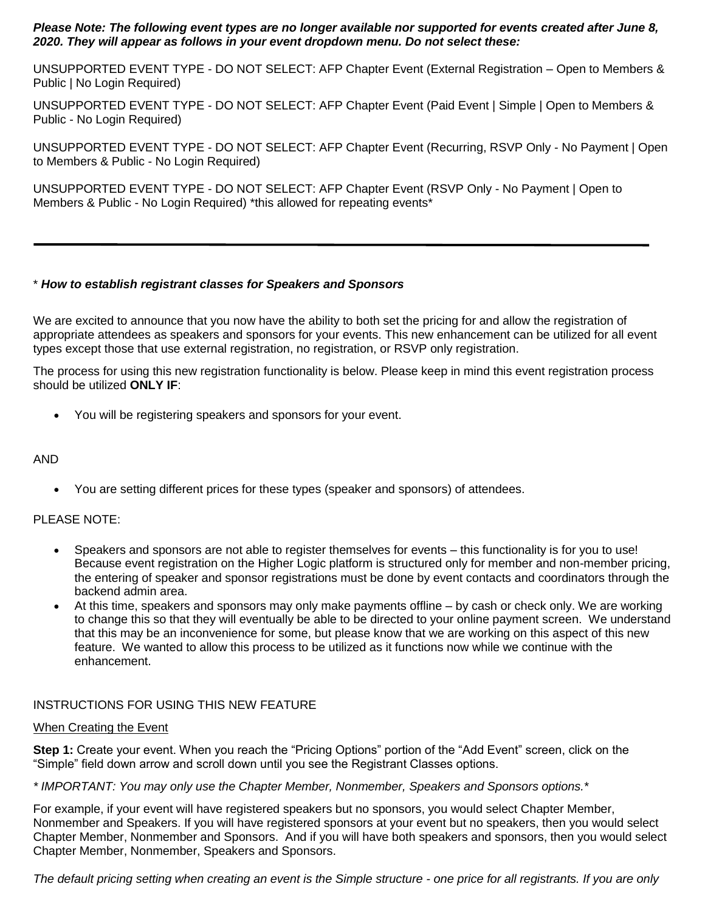#### *Please Note: The following event types are no longer available nor supported for events created after June 8, 2020. They will appear as follows in your event dropdown menu. Do not select these:*

UNSUPPORTED EVENT TYPE - DO NOT SELECT: AFP Chapter Event (External Registration – Open to Members & Public | No Login Required)

UNSUPPORTED EVENT TYPE - DO NOT SELECT: AFP Chapter Event (Paid Event | Simple | Open to Members & Public - No Login Required)

UNSUPPORTED EVENT TYPE - DO NOT SELECT: AFP Chapter Event (Recurring, RSVP Only - No Payment | Open to Members & Public - No Login Required)

UNSUPPORTED EVENT TYPE - DO NOT SELECT: AFP Chapter Event (RSVP Only - No Payment | Open to Members & Public - No Login Required) \*this allowed for repeating events\*

### \* *How to establish registrant classes for Speakers and Sponsors*

We are excited to announce that you now have the ability to both set the pricing for and allow the registration of appropriate attendees as speakers and sponsors for your events. This new enhancement can be utilized for all event types except those that use external registration, no registration, or RSVP only registration.

The process for using this new registration functionality is below. Please keep in mind this event registration process should be utilized **ONLY IF**:

You will be registering speakers and sponsors for your event.

## AND

You are setting different prices for these types (speaker and sponsors) of attendees.

# PLEASE NOTE:

- Speakers and sponsors are not able to register themselves for events this functionality is for you to use! Because event registration on the Higher Logic platform is structured only for member and non-member pricing, the entering of speaker and sponsor registrations must be done by event contacts and coordinators through the backend admin area.
- At this time, speakers and sponsors may only make payments offline by cash or check only. We are working to change this so that they will eventually be able to be directed to your online payment screen. We understand that this may be an inconvenience for some, but please know that we are working on this aspect of this new feature. We wanted to allow this process to be utilized as it functions now while we continue with the enhancement.

# INSTRUCTIONS FOR USING THIS NEW FEATURE

#### When Creating the Event

**Step 1:** Create your event. When you reach the "Pricing Options" portion of the "Add Event" screen, click on the "Simple" field down arrow and scroll down until you see the Registrant Classes options.

*\* IMPORTANT: You may only use the Chapter Member, Nonmember, Speakers and Sponsors options.\**

For example, if your event will have registered speakers but no sponsors, you would select Chapter Member, Nonmember and Speakers. If you will have registered sponsors at your event but no speakers, then you would select Chapter Member, Nonmember and Sponsors. And if you will have both speakers and sponsors, then you would select Chapter Member, Nonmember, Speakers and Sponsors.

*The default pricing setting when creating an event is the Simple structure - one price for all registrants. If you are only*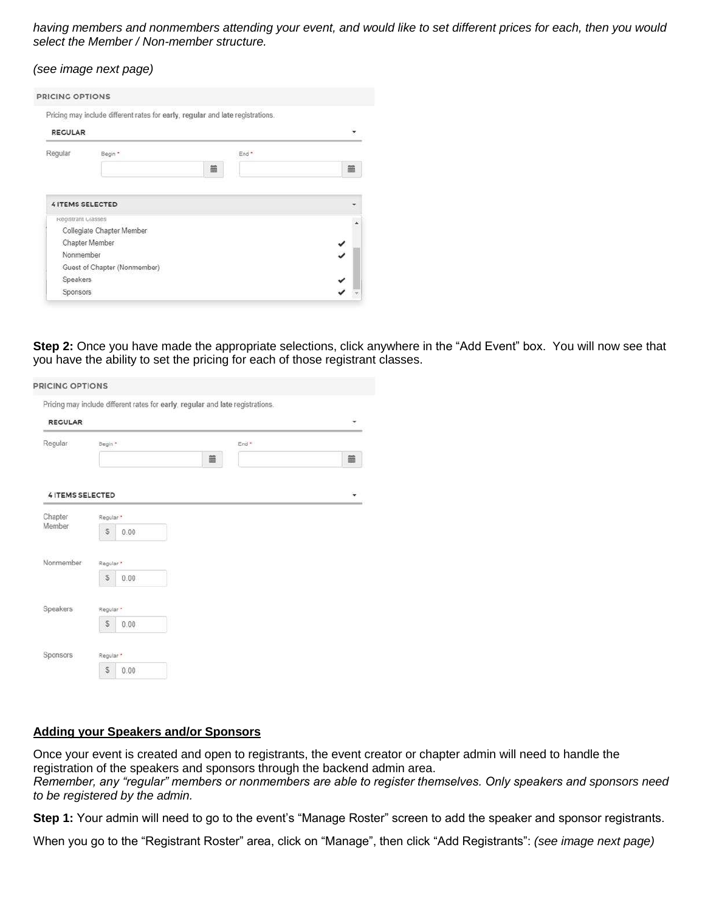*having members and nonmembers attending your event, and would like to set different prices for each, then you would select the Member / Non-member structure.*

| (see image next page) |  |  |  |  |
|-----------------------|--|--|--|--|
|-----------------------|--|--|--|--|

|                    | Pricing may include different rates for early, regular and late registrations. |   |
|--------------------|--------------------------------------------------------------------------------|---|
| <b>RECULAR</b>     |                                                                                |   |
| Regular            | End <sup>*</sup><br>Begin *                                                    |   |
|                    | 筁                                                                              | 篇 |
| Registrant Classes |                                                                                |   |
|                    | Collegiate Chapter Member                                                      |   |
|                    |                                                                                |   |
| Chapter Member     |                                                                                |   |
| Nonmember          |                                                                                |   |
| <b>Speakers</b>    | Guest of Chapter (Nonmember)                                                   |   |

**Step 2:** Once you have made the appropriate selections, click anywhere in the "Add Event" box. You will now see that you have the ability to set the pricing for each of those registrant classes.

| <b>RECULAR</b>          | Pricing may include different rates for early, regular and late registrations. | ٠ |
|-------------------------|--------------------------------------------------------------------------------|---|
| Regular                 | Begin *<br>End <sup>*</sup>                                                    |   |
|                         | 篇                                                                              | 篇 |
| <b>4 ITEMS SELECTED</b> |                                                                                | ٠ |
| Chapter                 | Regular*                                                                       |   |
| Member                  | \$<br>0.00                                                                     |   |
| Nonmember               | Regular*                                                                       |   |
|                         | S<br>0.00                                                                      |   |
| Speakers                | Regular *                                                                      |   |
|                         | S<br>0.00                                                                      |   |
| Sponsors                | Regular *                                                                      |   |
|                         | S<br>0.00                                                                      |   |

#### **Adding your Speakers and/or Sponsors**

Once your event is created and open to registrants, the event creator or chapter admin will need to handle the registration of the speakers and sponsors through the backend admin area. *Remember, any "regular" members or nonmembers are able to register themselves. Only speakers and sponsors need to be registered by the admin.*

**Step 1:** Your admin will need to go to the event's "Manage Roster" screen to add the speaker and sponsor registrants.

When you go to the "Registrant Roster" area, click on "Manage", then click "Add Registrants": *(see image next page)*